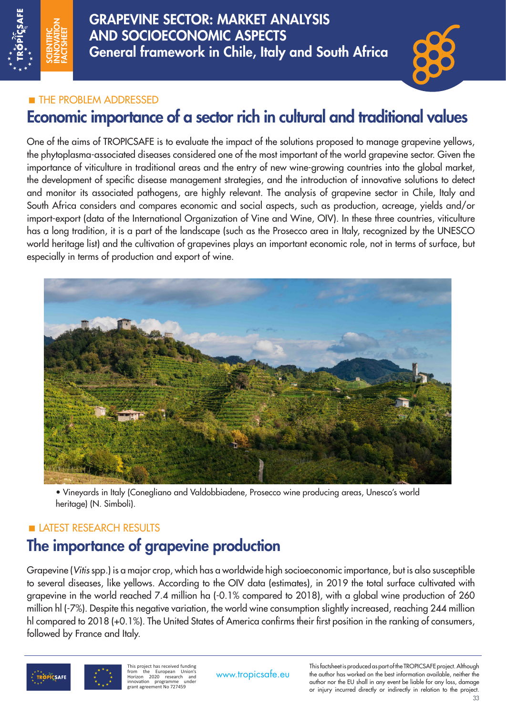

GRAPEVINE SECTOR: MARKET ANALYSIS AND SOCIOECONOMIC ASPECTS General framework in Chile, Italy and South Africa

### **THE PROBLEM ADDRESSED**

## Economic importance of a sector rich in cultural and traditional values

One of the aims of TROPICSAFE is to evaluate the impact of the solutions proposed to manage grapevine yellows, the phytoplasma-associated diseases considered one of the most important of the world grapevine sector. Given the importance of viticulture in traditional areas and the entry of new wine-growing countries into the global market, the development of specific disease management strategies, and the introduction of innovative solutions to detect and monitor its associated pathogens, are highly relevant. The analysis of grapevine sector in Chile, Italy and South Africa considers and compares economic and social aspects, such as production, acreage, yields and/or import-export (data of the International Organization of Vine and Wine, OIV). In these three countries, viticulture has a long tradition, it is a part of the landscape (such as the Prosecco area in Italy, recognized by the UNESCO world heritage list) and the cultivation of grapevines plays an important economic role, not in terms of surface, but especially in terms of production and export of wine.



• Vineyards in Italy (Conegliano and Valdobbiadene, Prosecco wine producing areas, Unesco's world heritage) (N. Simboli).

### LATEST RESEARCH RESULTS

# The importance of grapevine production

Grapevine (*Vitis* spp.) is a major crop, which has a worldwide high socioeconomic importance, but is also susceptible to several diseases, like yellows. According to the OIV data (estimates), in 2019 the total surface cultivated with grapevine in the world reached 7.4 million ha (-0.1% compared to 2018), with a global wine production of 260 million hl (-7%). Despite this negative variation, the world wine consumption slightly increased, reaching 244 million hl compared to 2018 (+0.1%). The United States of America confirms their first position in the ranking of consumers, followed by France and Italy.



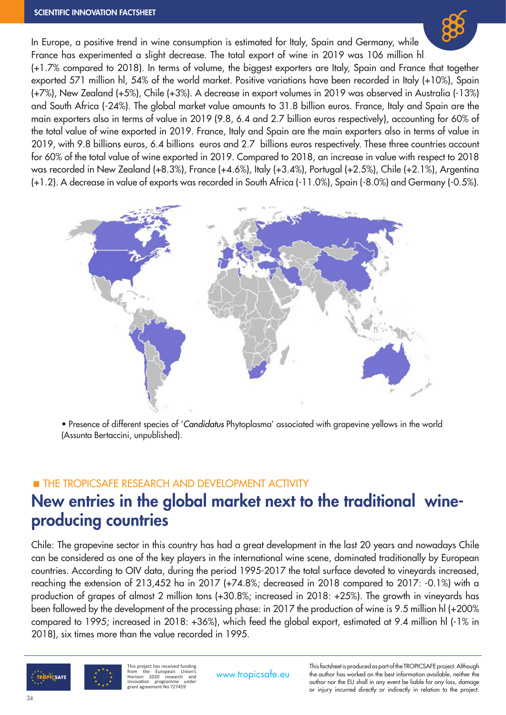#### SCIENTIFIC INNOVATION FACTSHEET

In Europe, a positive trend in wine consumption is estimated for Italy, Spain and Germany, while France has experimented a slight decrease. The total export of wine in 2019 was 106 million hl (+1.7% compared to 2018). In terms of volume, the biggest exporters are Italy, Spain and France that together exported 571 million hl, 54% of the world market. Positive variations have been recorded in Italy (+10%), Spain (+7%), New Zealand (+5%), Chile (+3%). A decrease in export volumes in 2019 was observed in Australia (-13%) and South Africa (-24%). The global market value amounts to 31.8 billion euros. France, Italy and Spain are the main exporters also in terms of value in 2019 (9.8, 6.4 and 2.7 billion euros respectively), accounting for 60% of the total value of wine exported in 2019. France, Italy and Spain are the main exporters also in terms of value in 2019, with 9.8 billions euros, 6.4 billions euros and 2.7 billions euros respectively. These three countries account for 60% of the total value of wine exported in 2019. Compared to 2018, an increase in value with respect to 2018 was recorded in New Zealand (+8.3%), France (+4.6%), Italy (+3.4%), Portugal (+2.5%), Chile (+2.1%), Argentina (+1.2). A decrease in value of exports was recorded in South Africa (-11.0%), Spain (-8.0%) and Germany (-0.5%).



• Presence of different species of '*Candidatus* Phytoplasma' associated with grapevine yellows in the world (Assunta Bertaccini, unpublished).

### **THE TROPICSAFE RESEARCH AND DEVELOPMENT ACTIVITY**

### New entries in the global market next to the traditional wineproducing countries

Chile: The grapevine sector in this country has had a great development in the last 20 years and nowadays Chile can be considered as one of the key players in the international wine scene, dominated traditionally by European countries. According to OIV data, during the period 1995-2017 the total surface devoted to vineyards increased, reaching the extension of 213,452 ha in 2017 (+74.8%; decreased in 2018 compared to 2017: -0.1%) with a production of grapes of almost 2 million tons (+30.8%; increased in 2018: +25%). The growth in vineyards has been followed by the development of the processing phase: in 2017 the production of wine is 9.5 million hl (+200% compared to 1995; increased in 2018: +36%), which feed the global export, estimated at 9.4 million hl (-1% in 2018), six times more than the value recorded in 1995.

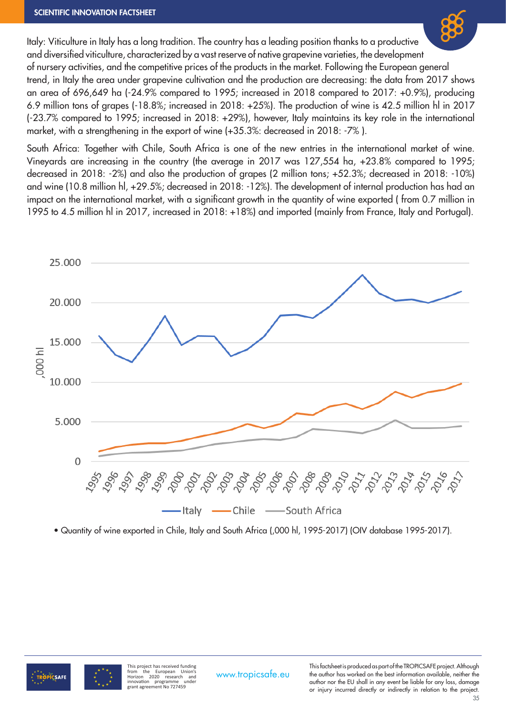

Italy: Viticulture in Italy has a long tradition. The country has a leading position thanks to a productive and diversified viticulture, characterized by a vast reserve of native grapevine varieties, the development of nursery activities, and the competitive prices of the products in the market. Following the European general trend, in Italy the area under grapevine cultivation and the production are decreasing: the data from 2017 shows an area of 696,649 ha (-24.9% compared to 1995; increased in 2018 compared to 2017: +0.9%), producing 6.9 million tons of grapes (-18.8%; increased in 2018: +25%). The production of wine is 42.5 million hl in 2017 (-23.7% compared to 1995; increased in 2018: +29%), however, Italy maintains its key role in the international market, with a strengthening in the export of wine (+35.3%: decreased in 2018: -7% ).

South Africa: Together with Chile, South Africa is one of the new entries in the international market of wine. Vineyards are increasing in the country (the average in 2017 was 127,554 ha, +23.8% compared to 1995; decreased in 2018: -2%) and also the production of grapes (2 million tons; +52.3%; decreased in 2018: -10%) and wine (10.8 million hl, +29.5%; decreased in 2018: -12%). The development of internal production has had an impact on the international market, with a significant growth in the quantity of wine exported ( from 0.7 million in 1995 to 4.5 million hl in 2017, increased in 2018: +18%) and imported (mainly from France, Italy and Portugal).



• Quantity of wine exported in Chile, Italy and South Africa (,000 hl, 1995-2017) (OIV database 1995-2017).



**This project has received funding** from the European Union's Horizon 2020 research and innovation programme under grant agreement No 727459

This factsheet is produced as part of the TROPICSAFE project. Although<br>www.tropicsafe.eu the author has worked on the best information available, neither the author nor the EU shall in any event be liable for any loss, damage or injury incurred directly or indirectly in relation to the project.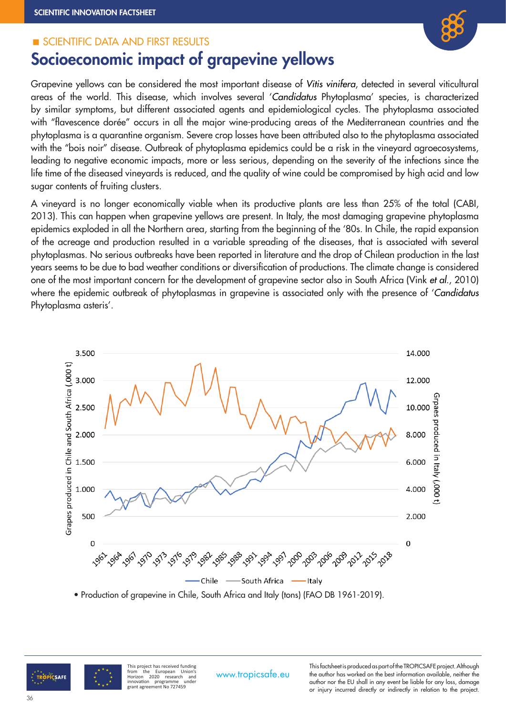#### SCIENTIFIC DATA AND FIRST RESULTS



# Socioeconomic impact of grapevine yellows

Grapevine yellows can be considered the most important disease of *Vitis vinifera*, detected in several viticultural areas of the world. This disease, which involves several '*Candidatus* Phytoplasma' species, is characterized by similar symptoms, but different associated agents and epidemiological cycles. The phytoplasma associated with "flavescence dorée" occurs in all the major wine-producing areas of the Mediterranean countries and the phytoplasma is a quarantine organism. Severe crop losses have been attributed also to the phytoplasma associated with the "bois noir" disease. Outbreak of phytoplasma epidemics could be a risk in the vineyard agroecosystems, leading to negative economic impacts, more or less serious, depending on the severity of the infections since the life time of the diseased vineyards is reduced, and the quality of wine could be compromised by high acid and low sugar contents of fruiting clusters.

A vineyard is no longer economically viable when its productive plants are less than 25% of the total (CABI, 2013). This can happen when grapevine yellows are present. In Italy, the most damaging grapevine phytoplasma epidemics exploded in all the Northern area, starting from the beginning of the '80s. In Chile, the rapid expansion of the acreage and production resulted in a variable spreading of the diseases, that is associated with several phytoplasmas. No serious outbreaks have been reported in literature and the drop of Chilean production in the last years seems to be due to bad weather conditions or diversification of productions. The climate change is considered one of the most important concern for the development of grapevine sector also in South Africa (Vink *et al*., 2010) where the epidemic outbreak of phytoplasmas in grapevine is associated only with the presence of '*Candidatus* Phytoplasma asteris'.